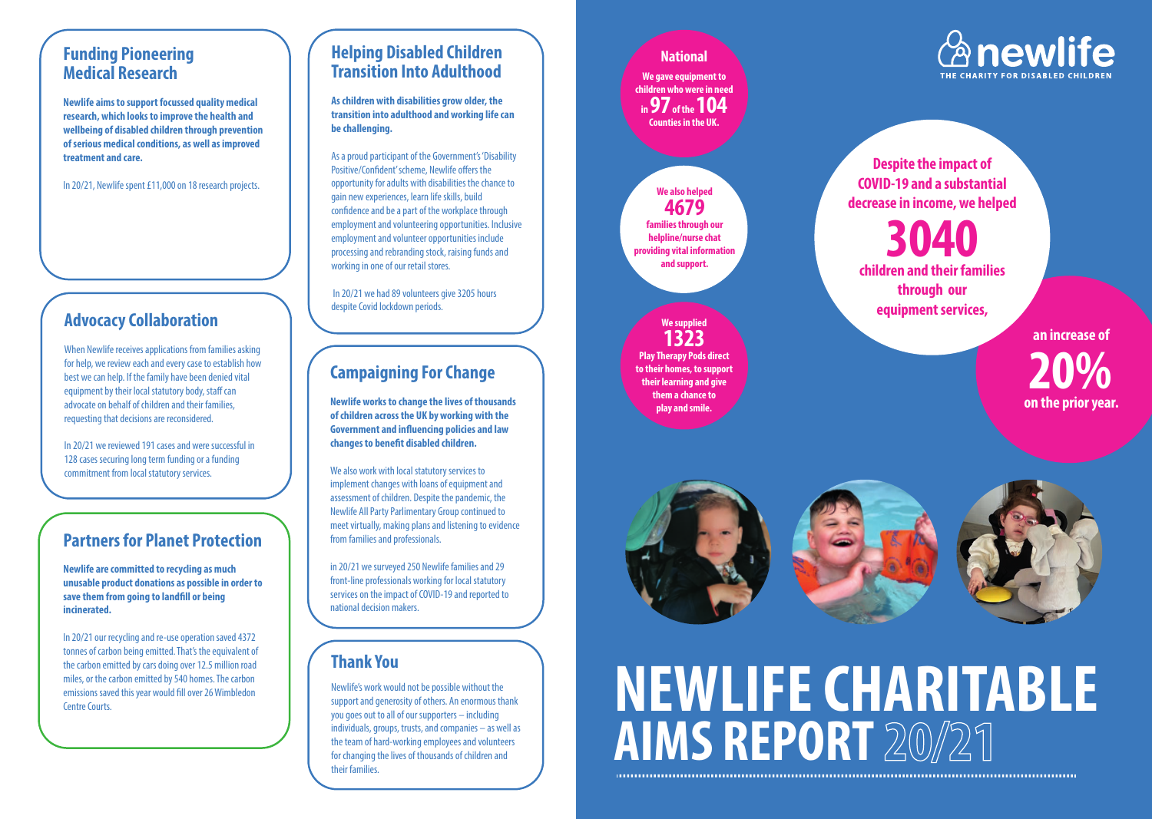### **Funding Pioneering Medical Research**

**Newlife aims to support focussed quality medical research, which looks to improve the health and wellbeing of disabled children through prevention of serious medical conditions, as well as improved treatment and care.**

In 20/21, Newlife spent £11,000 on 18 research projects.

### **Helping Disabled Children Transition Into Adulthood**

**As children with disabilities grow older, the transition into adulthood and working life can be challenging.** 

As a proud participant of the Government's 'Disability Positive/Confident' scheme, Newlife offers the opportunity for adults with disabilities the chance to gain new experiences, learn life skills, build confidence and be a part of the workplace through employment and volunteering opportunities. Inclusive employment and volunteer opportunities include processing and rebranding stock, raising funds and working in one of our retail stores.

 In 20/21 we had 89 volunteers give 3205 hours despite Covid lockdown periods.

### **Partners for Planet Protection**

**Newlife are committed to recycling as much unusable product donations as possible in order to save them from going to landfill or being incinerated.** 

In 20/21 our recycling and re-use operation saved 4372 tonnes of carbon being emitted. That's the equivalent of the carbon emitted by cars doing over 12.5 million road miles, or the carbon emitted by 540 homes. The carbon emissions saved this year would fill over 26 Wimbledon

**National**

**We gave equipment to children who were in need** 

### **We supplied 1323**

**Play Therapy Pods direct to their homes, to support their learning and give them a chance to play and smile.**



# The carbon emitted by 540 homes. The carbon<br>emissions saved this year would fill over 26 Wimbledon<br>Centre Courts. **AIMS REPORT** 20/21



### **Campaigning For Change**

**Newlife works to change the lives of thousands of children across the UK by working with the Government and influencing policies and law changes to benefit disabled children.** 

We also work with local statutory services to implement changes with loans of equipment and assessment of children. Despite the pandemic, the Newlife All Party Parlimentary Group continued to meet virtually, making plans and listening to evidence from families and professionals.

in 20/21 we surveyed 250 Newlife families and 29 front-line professionals working for local statutory services on the impact of COVID-19 and reported to national decision makers.

### **Advocacy Collaboration**



When Newlife receives applications from families asking for help, we review each and every case to establish how best we can help. If the family have been denied vital equipment by their local statutory body, staff can advocate on behalf of children and their families, requesting that decisions are reconsidered.

In 20/21 we reviewed 191 cases and were successful in 128 cases securing long term funding or a funding commitment from local statutory services.

### **Thank You**

Newlife's work would not be possible without the support and generosity of others. An enormous thank you goes out to all of our supporters – including individuals, groups, trusts, and companies – as well as the team of hard-working employees and volunteers for changing the lives of thousands of children and their families.

**Despite the impact of COVID-19 and a substantial decrease in income, we helped**



**children and their families through our equipment services,**

> **an increase of 20% on the prior year.**